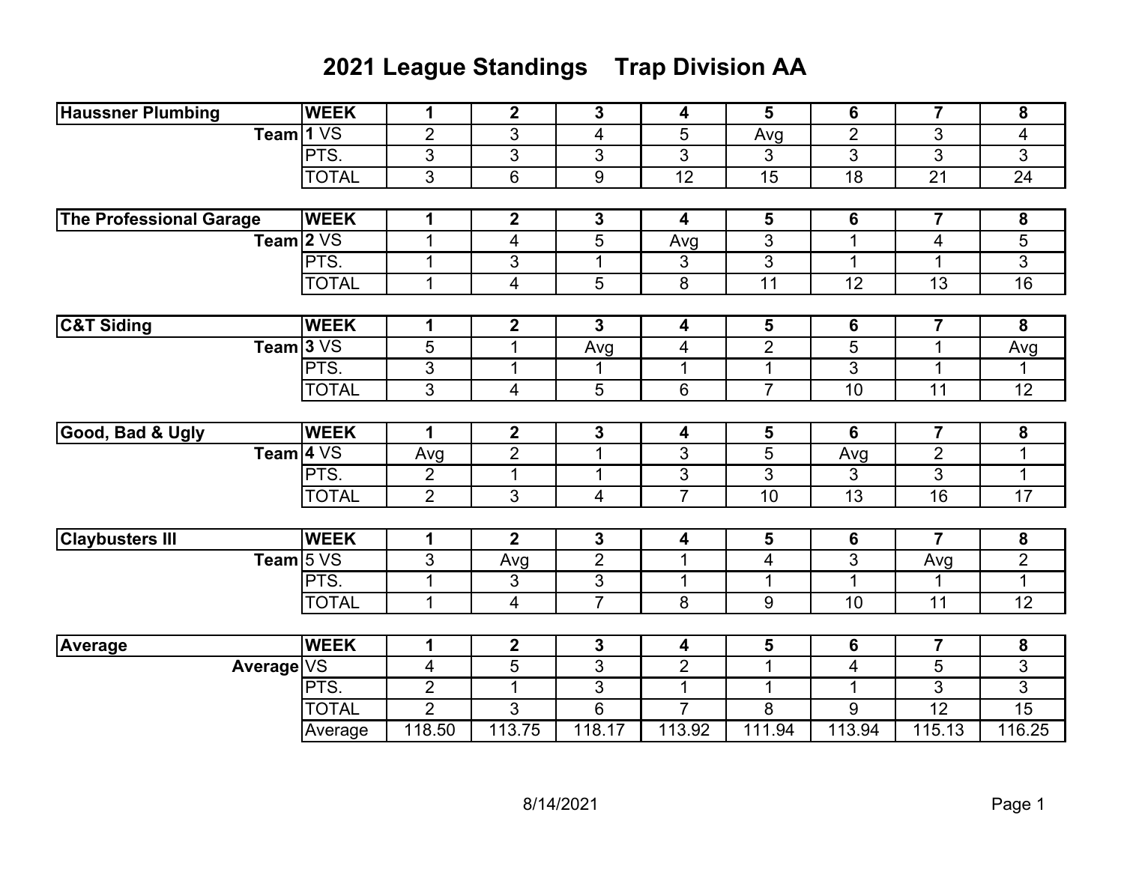## **2021 League Standings Trap Division AA**

| <b>Haussner Plumbing</b>       | <b>WEEK</b>  | 1              | $\mathbf 2$             | 3              | 4               | 5                        | 6               | $\overline{7}$          | 8               |
|--------------------------------|--------------|----------------|-------------------------|----------------|-----------------|--------------------------|-----------------|-------------------------|-----------------|
| Team 1 VS                      |              | $\overline{2}$ | 3                       | 4              | 5               | Avg                      | $\overline{2}$  | 3                       | 4               |
|                                | PTS.         | 3              | $\overline{3}$          | 3              | 3               | 3                        | $\overline{3}$  | $\overline{3}$          | $\overline{3}$  |
|                                | <b>TOTAL</b> | 3              | 6                       | 9              | $\overline{12}$ | $\overline{15}$          | $\overline{18}$ | $\overline{21}$         | $\overline{24}$ |
|                                |              |                |                         |                |                 |                          |                 |                         |                 |
| <b>The Professional Garage</b> | <b>WEEK</b>  | 1              | $\mathbf 2$             | $\mathbf{3}$   | 4               | $\overline{\mathbf{5}}$  | 6               | $\overline{\mathbf{7}}$ | 8               |
| Team $2VS$                     |              | $\mathbf 1$    | 4                       | 5              | Avg             | 3                        | $\mathbf 1$     | 4                       | 5               |
|                                | PTS.         | $\mathbf 1$    | 3                       | $\mathbf 1$    | 3               | 3                        | $\mathbf 1$     | $\mathbf 1$             | $\overline{3}$  |
|                                | <b>TOTAL</b> | $\mathbf 1$    | 4                       | 5              | 8               | 11                       | 12              | 13                      | $\overline{16}$ |
|                                |              |                |                         |                |                 |                          |                 |                         |                 |
| <b>C&amp;T Siding</b>          | <b>WEEK</b>  | 1              | $\mathbf 2$             | 3              | 4               | $\overline{\mathbf{5}}$  | 6               | $\overline{\mathbf{7}}$ | 8               |
| Team $3VS$                     |              | $\overline{5}$ | 1                       | Avg            | 4               | $\overline{2}$           | $\overline{5}$  | $\mathbf 1$             | Avg             |
|                                | PTS.         | 3              | 1                       | 1              | $\mathbf 1$     | $\mathbf 1$              | 3               | 1                       | 1               |
|                                | <b>TOTAL</b> | $\overline{3}$ | 4                       | 5              | 6               | $\overline{7}$           | 10              | 11                      | 12              |
|                                |              |                |                         |                |                 |                          |                 |                         |                 |
| Good, Bad & Ugly               | <b>WEEK</b>  | 1              | $\overline{\mathbf{2}}$ | 3              | 4               | 5                        | 6               | $\overline{7}$          | 8               |
| Team $4\sqrt{S}$               |              | Avg            | $\overline{2}$          | $\mathbf{1}$   | 3               | 5                        | Avg             | $\overline{2}$          | $\mathbf 1$     |
|                                | PTS.         | $\overline{2}$ | $\mathbf{1}$            | $\mathbf 1$    | 3               | 3                        | 3               | $\overline{3}$          | $\mathbf 1$     |
|                                | <b>TOTAL</b> | $\overline{2}$ | 3                       | 4              | $\overline{7}$  | 10                       | 13              | 16                      | $\overline{17}$ |
|                                |              |                |                         |                |                 |                          |                 |                         |                 |
| <b>Claybusters III</b>         | <b>WEEK</b>  | 1              | $\mathbf{2}$            | $\mathbf{3}$   | 4               | $5\phantom{1}$           | 6               | $\overline{7}$          | 8               |
| Team $5VS$                     |              | 3              | Avg                     | $\overline{2}$ | $\mathbf 1$     | $\overline{\mathcal{A}}$ | $\overline{3}$  | Avg                     | $\overline{2}$  |
|                                | PTS.         | 1              | 3                       | 3              | $\mathbf 1$     | $\mathbf 1$              | 1               | 1                       | $\mathbf{1}$    |
|                                | <b>TOTAL</b> | $\mathbf 1$    | 4                       | $\overline{7}$ | 8               | 9                        | 10              | 11                      | 12              |
|                                |              |                |                         |                |                 |                          |                 |                         |                 |
| <b>Average</b>                 | <b>WEEK</b>  | 1              | $\mathbf 2$             | 3              | 4               | 5                        | 6               | $\overline{\mathbf{7}}$ | 8               |
| Average VS                     |              | 4              | 5                       | 3              | $\overline{2}$  | $\mathbf 1$              | 4               | 5                       | 3               |
|                                | PTS.         | $\overline{2}$ | 1                       | 3              | $\mathbf{1}$    | $\mathbf 1$              | 1               | $\overline{3}$          | $\overline{3}$  |
|                                | <b>TOTAL</b> | $\overline{2}$ | 3                       | 6              | $\overline{7}$  | 8                        | 9               | $\overline{12}$         | 15              |
|                                | Average      | 118.50         | 113.75                  | 118.17         | 113.92          | 111.94                   | 113.94          | 115.13                  | 116.25          |